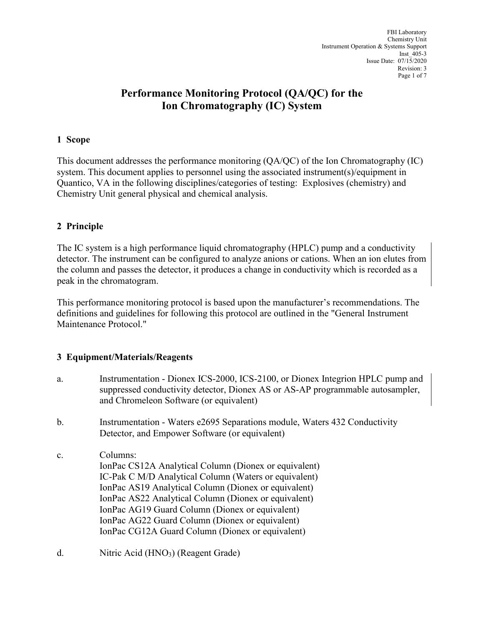# **Performance Monitoring Protocol (QA/QC) for the Ion Chromatography (IC) System**

#### **1 Scope**

This document addresses the performance monitoring (QA/QC) of the Ion Chromatography (IC) system. This document applies to personnel using the associated instrument(s)/equipment in Quantico, VA in the following disciplines/categories of testing: Explosives (chemistry) and Chemistry Unit general physical and chemical analysis.

# **2 Principle**

The IC system is a high performance liquid chromatography (HPLC) pump and a conductivity detector. The instrument can be configured to analyze anions or cations. When an ion elutes from the column and passes the detector, it produces a change in conductivity which is recorded as a peak in the chromatogram.

This performance monitoring protocol is based upon the manufacturer's recommendations. The definitions and guidelines for following this protocol are outlined in the "General Instrument Maintenance Protocol."

# **3 Equipment/Materials/Reagents**

- a. Instrumentation Dionex ICS-2000, ICS-2100, or Dionex Integrion HPLC pump and suppressed conductivity detector, Dionex AS or AS-AP programmable autosampler, and Chromeleon Software (or equivalent) b. Instrumentation - Waters e2695 Separations module, Waters 432 Conductivity Detector, and Empower Software (or equivalent) c. Columns: IonPac CS12A Analytical Column (Dionex or equivalent) IC-Pak C M/D Analytical Column (Waters or equivalent) IonPac AS19 Analytical Column (Dionex or equivalent) IonPac AS22 Analytical Column (Dionex or equivalent) IonPac AG19 Guard Column (Dionex or equivalent) IonPac AG22 Guard Column (Dionex or equivalent) IonPac CG12A Guard Column (Dionex or equivalent)
- d. Nitric Acid (HNO<sub>3</sub>) (Reagent Grade)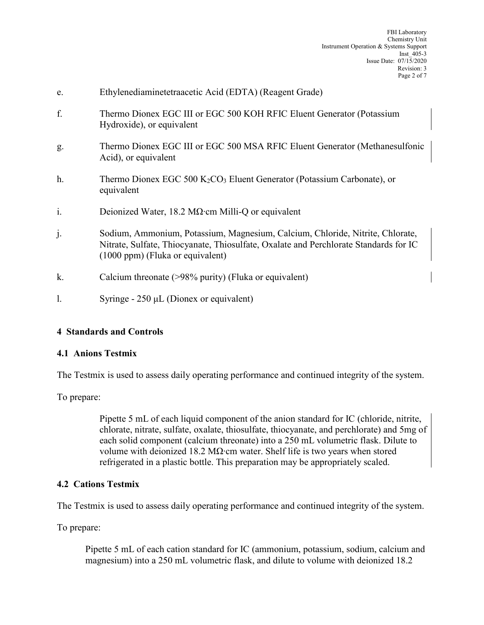| e.             | Ethylenediaminetetraacetic Acid (EDTA) (Reagent Grade)                                                                                                                                                      |
|----------------|-------------------------------------------------------------------------------------------------------------------------------------------------------------------------------------------------------------|
| f.             | Thermo Dionex EGC III or EGC 500 KOH RFIC Eluent Generator (Potassium<br>Hydroxide), or equivalent                                                                                                          |
| g.             | Thermo Dionex EGC III or EGC 500 MSA RFIC Eluent Generator (Methanesulfonic<br>Acid), or equivalent                                                                                                         |
| h.             | Thermo Dionex EGC 500 $K_2CO_3$ Eluent Generator (Potassium Carbonate), or<br>equivalent                                                                                                                    |
| $\mathbf{i}$ . | Deionized Water, 18.2 M $\Omega$ cm Milli-Q or equivalent                                                                                                                                                   |
| $\mathbf{j}$ . | Sodium, Ammonium, Potassium, Magnesium, Calcium, Chloride, Nitrite, Chlorate,<br>Nitrate, Sulfate, Thiocyanate, Thiosulfate, Oxalate and Perchlorate Standards for IC<br>$(1000$ ppm) (Fluka or equivalent) |
| k.             | Calcium threonate (>98% purity) (Fluka or equivalent)                                                                                                                                                       |
| 1.             | Syringe - $250 \mu L$ (Dionex or equivalent)                                                                                                                                                                |
|                |                                                                                                                                                                                                             |

# **4 Standards and Controls**

#### **4.1 Anions Testmix**

The Testmix is used to assess daily operating performance and continued integrity of the system.

To prepare:

Pipette 5 mL of each liquid component of the anion standard for IC (chloride, nitrite, chlorate, nitrate, sulfate, oxalate, thiosulfate, thiocyanate, and perchlorate) and 5mg of each solid component (calcium threonate) into a 250 mL volumetric flask. Dilute to volume with deionized 18.2 MΩ∙cm water. Shelf life is two years when stored refrigerated in a plastic bottle. This preparation may be appropriately scaled.

#### **4.2 Cations Testmix**

The Testmix is used to assess daily operating performance and continued integrity of the system.

To prepare:

Pipette 5 mL of each cation standard for IC (ammonium, potassium, sodium, calcium and magnesium) into a 250 mL volumetric flask, and dilute to volume with deionized 18.2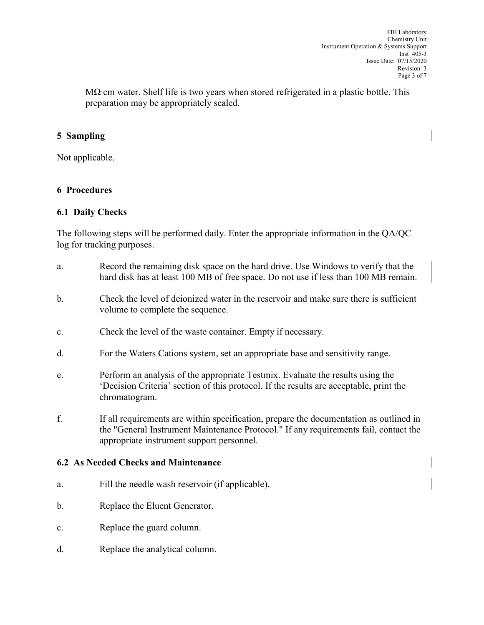MΩ⋅cm water. Shelf life is two years when stored refrigerated in a plastic bottle. This preparation may be appropriately scaled.

#### **5 Sampling**

Not applicable.

#### **6 Procedures**

#### **6.1 Daily Checks**

The following steps will be performed daily. Enter the appropriate information in the QA/QC log for tracking purposes.

- a. Record the remaining disk space on the hard drive. Use Windows to verify that the hard disk has at least 100 MB of free space. Do not use if less than 100 MB remain.
- b. Check the level of deionized water in the reservoir and make sure there is sufficient volume to complete the sequence.
- c. Check the level of the waste container. Empty if necessary.
- d. For the Waters Cations system, set an appropriate base and sensitivity range.
- e. Perform an analysis of the appropriate Testmix. Evaluate the results using the 'Decision Criteria' section of this protocol. If the results are acceptable, print the chromatogram.
- f. If all requirements are within specification, prepare the documentation as outlined in the "General Instrument Maintenance Protocol." If any requirements fail, contact the appropriate instrument support personnel.

#### **6.2 As Needed Checks and Maintenance**

- a. Fill the needle wash reservoir (if applicable).
- b. Replace the Eluent Generator.
- c. Replace the guard column.
- d. Replace the analytical column.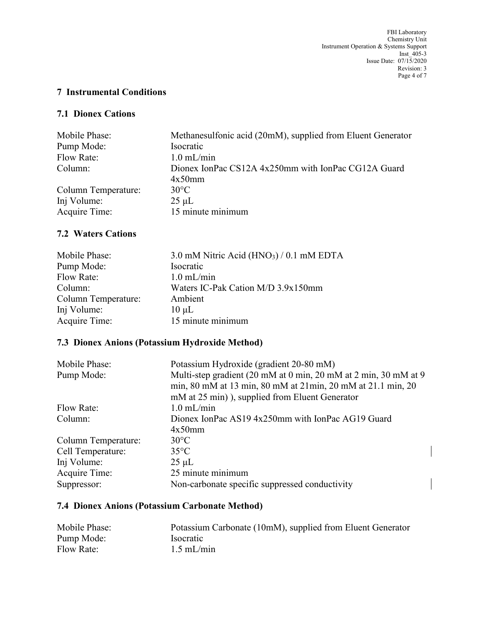# **7 Instrumental Conditions**

#### **7.1 Dionex Cations**

| Methanesulfonic acid (20mM), supplied from Eluent Generator |
|-------------------------------------------------------------|
|                                                             |
|                                                             |
| Dionex IonPac CS12A 4x250mm with IonPac CG12A Guard         |
|                                                             |
|                                                             |
|                                                             |
| 15 minute minimum                                           |
|                                                             |

# **7.2 Waters Cations**

| $3.0$ mM Nitric Acid (HNO <sub>3</sub> ) / 0.1 mM EDTA |
|--------------------------------------------------------|
| Isocratic                                              |
| $1.0$ mL/min                                           |
| Waters IC-Pak Cation M/D 3.9x150mm                     |
| Ambient                                                |
| $10 \mu L$                                             |
| 15 minute minimum                                      |
|                                                        |

# **7.3 Dionex Anions (Potassium Hydroxide Method)**

| Mobile Phase:       | Potassium Hydroxide (gradient 20-80 mM)                         |  |  |
|---------------------|-----------------------------------------------------------------|--|--|
| Pump Mode:          | Multi-step gradient (20 mM at 0 min, 20 mM at 2 min, 30 mM at 9 |  |  |
|                     | min, 80 mM at 13 min, 80 mM at 21min, 20 mM at 21.1 min, 20     |  |  |
|                     | mM at 25 min), supplied from Eluent Generator                   |  |  |
| Flow Rate:          | $1.0$ mL/min                                                    |  |  |
| Column:             | Dionex IonPac AS19 4x250mm with IonPac AG19 Guard               |  |  |
|                     | $4x50$ mm                                                       |  |  |
| Column Temperature: | $30^{\circ}$ C                                                  |  |  |
| Cell Temperature:   | $35^{\circ}$ C                                                  |  |  |
| Inj Volume:         | $25 \mu L$                                                      |  |  |
| Acquire Time:       | 25 minute minimum                                               |  |  |
| Suppressor:         | Non-carbonate specific suppressed conductivity                  |  |  |

# **7.4 Dionex Anions (Potassium Carbonate Method)**

| Mobile Phase: | Potassium Carbonate (10mM), supplied from Eluent Generator |
|---------------|------------------------------------------------------------|
| Pump Mode:    | <i><u>Isocratic</u></i>                                    |
| Flow Rate:    | $1.5$ mL/min                                               |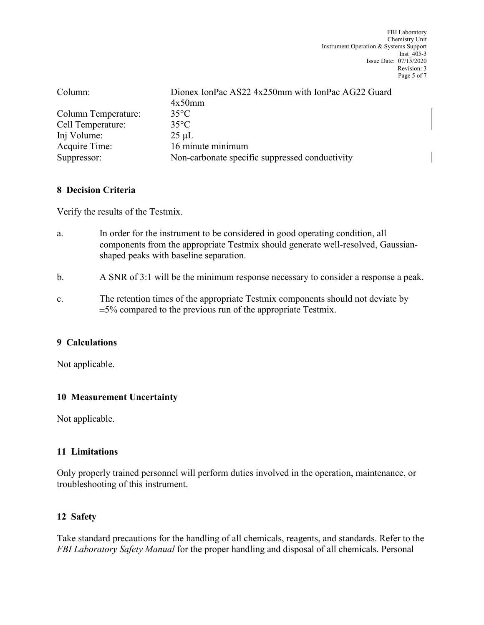| Column:             | Dionex IonPac AS22 4x250mm with IonPac AG22 Guard<br>$4x50$ mm |
|---------------------|----------------------------------------------------------------|
| Column Temperature: | $35^{\circ}$ C                                                 |
| Cell Temperature:   | $35^{\circ}$ C                                                 |
| Inj Volume:         | $25 \mu L$                                                     |
| Acquire Time:       | 16 minute minimum                                              |
| Suppressor:         | Non-carbonate specific suppressed conductivity                 |

#### **8 Decision Criteria**

Verify the results of the Testmix.

- a. In order for the instrument to be considered in good operating condition, all components from the appropriate Testmix should generate well-resolved, Gaussianshaped peaks with baseline separation.
- b. A SNR of 3:1 will be the minimum response necessary to consider a response a peak.
- c. The retention times of the appropriate Testmix components should not deviate by  $\pm$ 5% compared to the previous run of the appropriate Testmix.

# **9 Calculations**

Not applicable.

# **10 Measurement Uncertainty**

Not applicable.

# **11 Limitations**

Only properly trained personnel will perform duties involved in the operation, maintenance, or troubleshooting of this instrument.

# **12 Safety**

Take standard precautions for the handling of all chemicals, reagents, and standards. Refer to the *FBI Laboratory Safety Manual* for the proper handling and disposal of all chemicals. Personal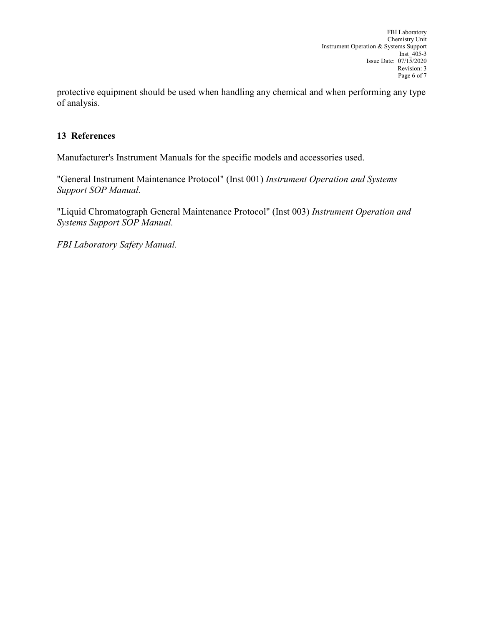protective equipment should be used when handling any chemical and when performing any type of analysis.

#### **13 References**

Manufacturer's Instrument Manuals for the specific models and accessories used.

"General Instrument Maintenance Protocol" (Inst 001) *Instrument Operation and Systems Support SOP Manual.* 

"Liquid Chromatograph General Maintenance Protocol" (Inst 003) *Instrument Operation and Systems Support SOP Manual.* 

*FBI Laboratory Safety Manual.*